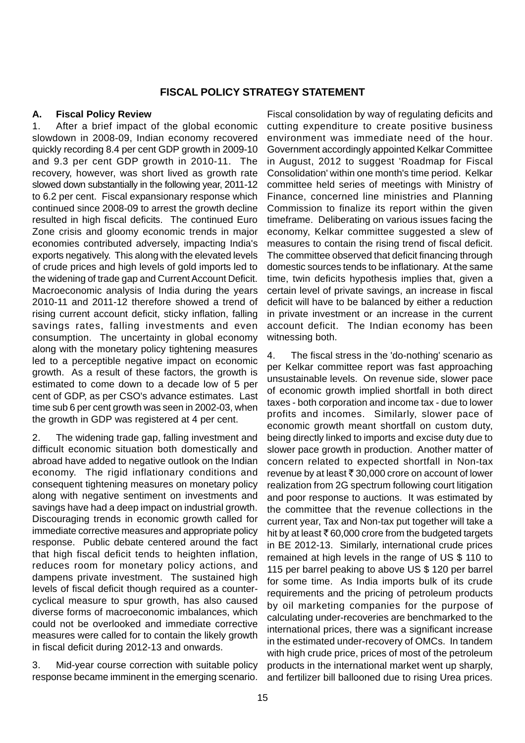# **FISCAL POLICY STRATEGY STATEMENT**

## **A. Fiscal Policy Review**

1. After a brief impact of the global economic slowdown in 2008-09, Indian economy recovered quickly recording 8.4 per cent GDP growth in 2009-10 and 9.3 per cent GDP growth in 2010-11. The recovery, however, was short lived as growth rate slowed down substantially in the following year, 2011-12 to 6.2 per cent. Fiscal expansionary response which continued since 2008-09 to arrest the growth decline resulted in high fiscal deficits. The continued Euro Zone crisis and gloomy economic trends in major economies contributed adversely, impacting India's exports negatively. This along with the elevated levels of crude prices and high levels of gold imports led to the widening of trade gap and Current Account Deficit. Macroeconomic analysis of India during the years 2010-11 and 2011-12 therefore showed a trend of rising current account deficit, sticky inflation, falling savings rates, falling investments and even consumption. The uncertainty in global economy along with the monetary policy tightening measures led to a perceptible negative impact on economic growth. As a result of these factors, the growth is estimated to come down to a decade low of 5 per cent of GDP, as per CSO's advance estimates. Last time sub 6 per cent growth was seen in 2002-03, when the growth in GDP was registered at 4 per cent.

2. The widening trade gap, falling investment and difficult economic situation both domestically and abroad have added to negative outlook on the Indian economy. The rigid inflationary conditions and consequent tightening measures on monetary policy along with negative sentiment on investments and savings have had a deep impact on industrial growth. Discouraging trends in economic growth called for immediate corrective measures and appropriate policy response. Public debate centered around the fact that high fiscal deficit tends to heighten inflation, reduces room for monetary policy actions, and dampens private investment. The sustained high levels of fiscal deficit though required as a countercyclical measure to spur growth, has also caused diverse forms of macroeconomic imbalances, which could not be overlooked and immediate corrective measures were called for to contain the likely growth in fiscal deficit during 2012-13 and onwards.

3. Mid-year course correction with suitable policy response became imminent in the emerging scenario. Fiscal consolidation by way of regulating deficits and cutting expenditure to create positive business environment was immediate need of the hour. Government accordingly appointed Kelkar Committee in August, 2012 to suggest 'Roadmap for Fiscal Consolidation' within one month's time period. Kelkar committee held series of meetings with Ministry of Finance, concerned line ministries and Planning Commission to finalize its report within the given timeframe. Deliberating on various issues facing the economy, Kelkar committee suggested a slew of measures to contain the rising trend of fiscal deficit. The committee observed that deficit financing through domestic sources tends to be inflationary. At the same time, twin deficits hypothesis implies that, given a certain level of private savings, an increase in fiscal deficit will have to be balanced by either a reduction in private investment or an increase in the current account deficit. The Indian economy has been witnessing both.

4. The fiscal stress in the 'do-nothing' scenario as per Kelkar committee report was fast approaching unsustainable levels. On revenue side, slower pace of economic growth implied shortfall in both direct taxes - both corporation and income tax - due to lower profits and incomes. Similarly, slower pace of economic growth meant shortfall on custom duty, being directly linked to imports and excise duty due to slower pace growth in production. Another matter of concern related to expected shortfall in Non-tax revenue by at least  $\bar{\tau}$  30,000 crore on account of lower realization from 2G spectrum following court litigation and poor response to auctions. It was estimated by the committee that the revenue collections in the current year, Tax and Non-tax put together will take a hit by at least  $\bar{\bar{\tau}}$  60,000 crore from the budgeted targets in BE 2012-13. Similarly, international crude prices remained at high levels in the range of US \$ 110 to 115 per barrel peaking to above US \$ 120 per barrel for some time. As India imports bulk of its crude requirements and the pricing of petroleum products by oil marketing companies for the purpose of calculating under-recoveries are benchmarked to the international prices, there was a significant increase in the estimated under-recovery of OMCs. In tandem with high crude price, prices of most of the petroleum products in the international market went up sharply, and fertilizer bill ballooned due to rising Urea prices.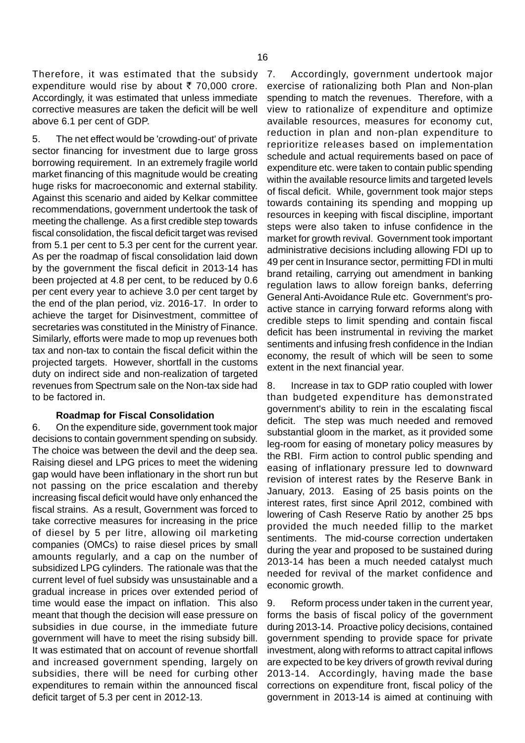Therefore, it was estimated that the subsidy 7. expenditure would rise by about  $\bar{\tau}$  70,000 crore. Accordingly, it was estimated that unless immediate corrective measures are taken the deficit will be well above 6.1 per cent of GDP.

5. The net effect would be 'crowding-out' of private sector financing for investment due to large gross borrowing requirement. In an extremely fragile world market financing of this magnitude would be creating huge risks for macroeconomic and external stability. Against this scenario and aided by Kelkar committee recommendations, government undertook the task of meeting the challenge. As a first credible step towards fiscal consolidation, the fiscal deficit target was revised from 5.1 per cent to 5.3 per cent for the current year. As per the roadmap of fiscal consolidation laid down by the government the fiscal deficit in 2013-14 has been projected at 4.8 per cent, to be reduced by 0.6 per cent every year to achieve 3.0 per cent target by the end of the plan period, viz. 2016-17. In order to achieve the target for Disinvestment, committee of secretaries was constituted in the Ministry of Finance. Similarly, efforts were made to mop up revenues both tax and non-tax to contain the fiscal deficit within the projected targets. However, shortfall in the customs duty on indirect side and non-realization of targeted revenues from Spectrum sale on the Non-tax side had to be factored in.

#### **Roadmap for Fiscal Consolidation**

6. On the expenditure side, government took major decisions to contain government spending on subsidy. The choice was between the devil and the deep sea. Raising diesel and LPG prices to meet the widening gap would have been inflationary in the short run but not passing on the price escalation and thereby increasing fiscal deficit would have only enhanced the fiscal strains. As a result, Government was forced to take corrective measures for increasing in the price of diesel by 5 per litre, allowing oil marketing companies (OMCs) to raise diesel prices by small amounts regularly, and a cap on the number of subsidized LPG cylinders. The rationale was that the current level of fuel subsidy was unsustainable and a gradual increase in prices over extended period of time would ease the impact on inflation. This also meant that though the decision will ease pressure on subsidies in due course, in the immediate future government will have to meet the rising subsidy bill. It was estimated that on account of revenue shortfall and increased government spending, largely on subsidies, there will be need for curbing other expenditures to remain within the announced fiscal deficit target of 5.3 per cent in 2012-13.

Accordingly, government undertook major exercise of rationalizing both Plan and Non-plan spending to match the revenues. Therefore, with a view to rationalize of expenditure and optimize available resources, measures for economy cut, reduction in plan and non-plan expenditure to reprioritize releases based on implementation schedule and actual requirements based on pace of expenditure etc. were taken to contain public spending within the available resource limits and targeted levels of fiscal deficit. While, government took major steps towards containing its spending and mopping up resources in keeping with fiscal discipline, important steps were also taken to infuse confidence in the market for growth revival. Government took important administrative decisions including allowing FDI up to 49 per cent in Insurance sector, permitting FDI in multi brand retailing, carrying out amendment in banking regulation laws to allow foreign banks, deferring General Anti-Avoidance Rule etc. Government's proactive stance in carrying forward reforms along with credible steps to limit spending and contain fiscal deficit has been instrumental in reviving the market sentiments and infusing fresh confidence in the Indian economy, the result of which will be seen to some extent in the next financial year.

8. Increase in tax to GDP ratio coupled with lower than budgeted expenditure has demonstrated government's ability to rein in the escalating fiscal deficit. The step was much needed and removed substantial gloom in the market, as it provided some leg-room for easing of monetary policy measures by the RBI. Firm action to control public spending and easing of inflationary pressure led to downward revision of interest rates by the Reserve Bank in January, 2013. Easing of 25 basis points on the interest rates, first since April 2012, combined with lowering of Cash Reserve Ratio by another 25 bps provided the much needed fillip to the market sentiments. The mid-course correction undertaken during the year and proposed to be sustained during 2013-14 has been a much needed catalyst much needed for revival of the market confidence and economic growth.

9. Reform process under taken in the current year, forms the basis of fiscal policy of the government during 2013-14. Proactive policy decisions, contained government spending to provide space for private investment, along with reforms to attract capital inflows are expected to be key drivers of growth revival during 2013-14. Accordingly, having made the base corrections on expenditure front, fiscal policy of the government in 2013-14 is aimed at continuing with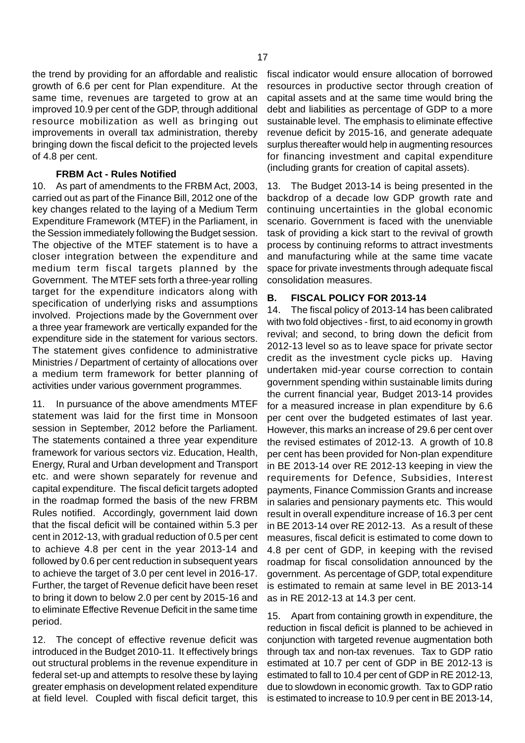the trend by providing for an affordable and realistic growth of 6.6 per cent for Plan expenditure. At the same time, revenues are targeted to grow at an improved 10.9 per cent of the GDP, through additional resource mobilization as well as bringing out improvements in overall tax administration, thereby bringing down the fiscal deficit to the projected levels of 4.8 per cent.

#### **FRBM Act - Rules Notified**

10. As part of amendments to the FRBM Act, 2003, carried out as part of the Finance Bill, 2012 one of the key changes related to the laying of a Medium Term Expenditure Framework (MTEF) in the Parliament, in the Session immediately following the Budget session. The objective of the MTEF statement is to have a closer integration between the expenditure and medium term fiscal targets planned by the Government. The MTEF sets forth a three-year rolling target for the expenditure indicators along with specification of underlying risks and assumptions involved. Projections made by the Government over a three year framework are vertically expanded for the expenditure side in the statement for various sectors. The statement gives confidence to administrative Ministries / Department of certainty of allocations over a medium term framework for better planning of activities under various government programmes.

11. In pursuance of the above amendments MTEF statement was laid for the first time in Monsoon session in September, 2012 before the Parliament. The statements contained a three year expenditure framework for various sectors viz. Education, Health, Energy, Rural and Urban development and Transport etc. and were shown separately for revenue and capital expenditure. The fiscal deficit targets adopted in the roadmap formed the basis of the new FRBM Rules notified. Accordingly, government laid down that the fiscal deficit will be contained within 5.3 per cent in 2012-13, with gradual reduction of 0.5 per cent to achieve 4.8 per cent in the year 2013-14 and followed by 0.6 per cent reduction in subsequent years to achieve the target of 3.0 per cent level in 2016-17. Further, the target of Revenue deficit have been reset to bring it down to below 2.0 per cent by 2015-16 and to eliminate Effective Revenue Deficit in the same time period.

12. The concept of effective revenue deficit was introduced in the Budget 2010-11. It effectively brings out structural problems in the revenue expenditure in federal set-up and attempts to resolve these by laying greater emphasis on development related expenditure at field level. Coupled with fiscal deficit target, this

fiscal indicator would ensure allocation of borrowed resources in productive sector through creation of capital assets and at the same time would bring the debt and liabilities as percentage of GDP to a more sustainable level. The emphasis to eliminate effective revenue deficit by 2015-16, and generate adequate surplus thereafter would help in augmenting resources for financing investment and capital expenditure (including grants for creation of capital assets).

13. The Budget 2013-14 is being presented in the backdrop of a decade low GDP growth rate and continuing uncertainties in the global economic scenario. Government is faced with the unenviable task of providing a kick start to the revival of growth process by continuing reforms to attract investments and manufacturing while at the same time vacate space for private investments through adequate fiscal consolidation measures.

#### **B. FISCAL POLICY FOR 2013-14**

14. The fiscal policy of 2013-14 has been calibrated with two fold objectives - first, to aid economy in growth revival; and second, to bring down the deficit from 2012-13 level so as to leave space for private sector credit as the investment cycle picks up. Having undertaken mid-year course correction to contain government spending within sustainable limits during the current financial year, Budget 2013-14 provides for a measured increase in plan expenditure by 6.6 per cent over the budgeted estimates of last year. However, this marks an increase of 29.6 per cent over the revised estimates of 2012-13. A growth of 10.8 per cent has been provided for Non-plan expenditure in BE 2013-14 over RE 2012-13 keeping in view the requirements for Defence, Subsidies, Interest payments, Finance Commission Grants and increase in salaries and pensionary payments etc. This would result in overall expenditure increase of 16.3 per cent in BE 2013-14 over RE 2012-13. As a result of these measures, fiscal deficit is estimated to come down to 4.8 per cent of GDP, in keeping with the revised roadmap for fiscal consolidation announced by the government. As percentage of GDP, total expenditure is estimated to remain at same level in BE 2013-14 as in RE 2012-13 at 14.3 per cent.

15. Apart from containing growth in expenditure, the reduction in fiscal deficit is planned to be achieved in conjunction with targeted revenue augmentation both through tax and non-tax revenues. Tax to GDP ratio estimated at 10.7 per cent of GDP in BE 2012-13 is estimated to fall to 10.4 per cent of GDP in RE 2012-13, due to slowdown in economic growth. Tax to GDP ratio is estimated to increase to 10.9 per cent in BE 2013-14,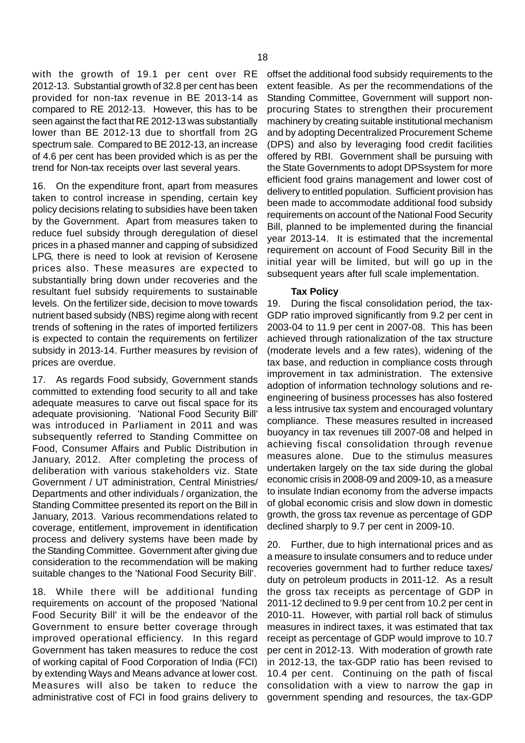with the growth of 19.1 per cent over RE 2012-13. Substantial growth of 32.8 per cent has been provided for non-tax revenue in BE 2013-14 as compared to RE 2012-13. However, this has to be seen against the fact that RE 2012-13 was substantially lower than BE 2012-13 due to shortfall from 2G spectrum sale. Compared to BE 2012-13, an increase of 4.6 per cent has been provided which is as per the trend for Non-tax receipts over last several years.

16. On the expenditure front, apart from measures taken to control increase in spending, certain key policy decisions relating to subsidies have been taken by the Government. Apart from measures taken to reduce fuel subsidy through deregulation of diesel prices in a phased manner and capping of subsidized LPG, there is need to look at revision of Kerosene prices also. These measures are expected to substantially bring down under recoveries and the resultant fuel subsidy requirements to sustainable levels. On the fertilizer side, decision to move towards nutrient based subsidy (NBS) regime along with recent trends of softening in the rates of imported fertilizers is expected to contain the requirements on fertilizer subsidy in 2013-14. Further measures by revision of prices are overdue.

17. As regards Food subsidy, Government stands committed to extending food security to all and take adequate measures to carve out fiscal space for its adequate provisioning. 'National Food Security Bill' was introduced in Parliament in 2011 and was subsequently referred to Standing Committee on Food, Consumer Affairs and Public Distribution in January, 2012. After completing the process of deliberation with various stakeholders viz. State Government / UT administration, Central Ministries/ Departments and other individuals / organization, the Standing Committee presented its report on the Bill in January, 2013. Various recommendations related to coverage, entitlement, improvement in identification process and delivery systems have been made by the Standing Committee. Government after giving due consideration to the recommendation will be making suitable changes to the 'National Food Security Bill'.

18. While there will be additional funding requirements on account of the proposed 'National Food Security Bill' it will be the endeavor of the Government to ensure better coverage through improved operational efficiency. In this regard Government has taken measures to reduce the cost of working capital of Food Corporation of India (FCI) by extending Ways and Means advance at lower cost. Measures will also be taken to reduce the administrative cost of FCI in food grains delivery to

offset the additional food subsidy requirements to the extent feasible. As per the recommendations of the Standing Committee, Government will support nonprocuring States to strengthen their procurement machinery by creating suitable institutional mechanism and by adopting Decentralized Procurement Scheme (DPS) and also by leveraging food credit facilities offered by RBI. Government shall be pursuing with the State Governments to adopt DPSsystem for more efficient food grains management and lower cost of delivery to entitled population. Sufficient provision has been made to accommodate additional food subsidy requirements on account of the National Food Security Bill, planned to be implemented during the financial year 2013-14. It is estimated that the incremental requirement on account of Food Security Bill in the initial year will be limited, but will go up in the subsequent years after full scale implementation.

#### **Tax Policy**

19. During the fiscal consolidation period, the tax-GDP ratio improved significantly from 9.2 per cent in 2003-04 to 11.9 per cent in 2007-08. This has been achieved through rationalization of the tax structure (moderate levels and a few rates), widening of the tax base, and reduction in compliance costs through improvement in tax administration. The extensive adoption of information technology solutions and reengineering of business processes has also fostered a less intrusive tax system and encouraged voluntary compliance. These measures resulted in increased buoyancy in tax revenues till 2007-08 and helped in achieving fiscal consolidation through revenue measures alone. Due to the stimulus measures undertaken largely on the tax side during the global economic crisis in 2008-09 and 2009-10, as a measure to insulate Indian economy from the adverse impacts of global economic crisis and slow down in domestic growth, the gross tax revenue as percentage of GDP declined sharply to 9.7 per cent in 2009-10.

20. Further, due to high international prices and as a measure to insulate consumers and to reduce under recoveries government had to further reduce taxes/ duty on petroleum products in 2011-12. As a result the gross tax receipts as percentage of GDP in 2011-12 declined to 9.9 per cent from 10.2 per cent in 2010-11. However, with partial roll back of stimulus measures in indirect taxes, it was estimated that tax receipt as percentage of GDP would improve to 10.7 per cent in 2012-13. With moderation of growth rate in 2012-13, the tax-GDP ratio has been revised to 10.4 per cent. Continuing on the path of fiscal consolidation with a view to narrow the gap in government spending and resources, the tax-GDP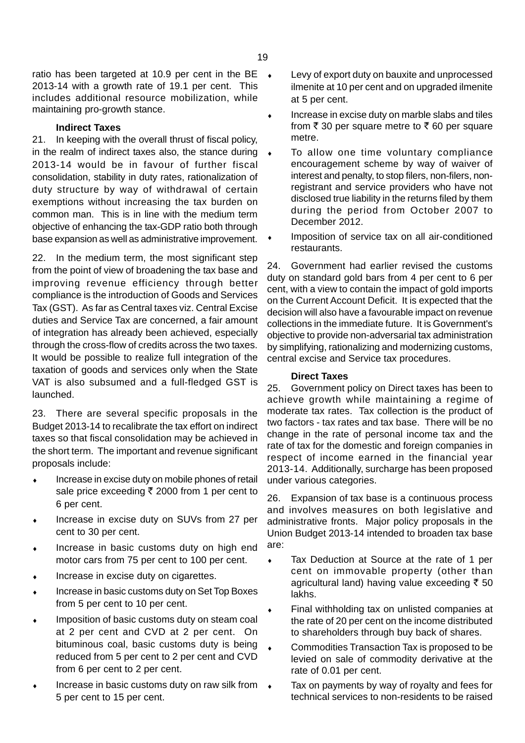ratio has been targeted at 10.9 per cent in the BE  $\rightarrow$ 2013-14 with a growth rate of 19.1 per cent. This includes additional resource mobilization, while maintaining pro-growth stance.

## **Indirect Taxes**

21. In keeping with the overall thrust of fiscal policy, in the realm of indirect taxes also, the stance during 2013-14 would be in favour of further fiscal consolidation, stability in duty rates, rationalization of duty structure by way of withdrawal of certain exemptions without increasing the tax burden on common man. This is in line with the medium term objective of enhancing the tax-GDP ratio both through base expansion as well as administrative improvement.

22. In the medium term, the most significant step from the point of view of broadening the tax base and improving revenue efficiency through better compliance is the introduction of Goods and Services Tax (GST). As far as Central taxes viz. Central Excise duties and Service Tax are concerned, a fair amount of integration has already been achieved, especially through the cross-flow of credits across the two taxes. It would be possible to realize full integration of the taxation of goods and services only when the State VAT is also subsumed and a full-fledged GST is launched.

23. There are several specific proposals in the Budget 2013-14 to recalibrate the tax effort on indirect taxes so that fiscal consolidation may be achieved in the short term. The important and revenue significant proposals include:

- Increase in excise duty on mobile phones of retail sale price exceeding  $\bar{\tau}$  2000 from 1 per cent to 6 per cent.
- Increase in excise duty on SUVs from 27 per cent to 30 per cent.
- Increase in basic customs duty on high end motor cars from 75 per cent to 100 per cent.
- Increase in excise duty on cigarettes.
- Increase in basic customs duty on Set Top Boxes from 5 per cent to 10 per cent.
- Imposition of basic customs duty on steam coal at 2 per cent and CVD at 2 per cent. On bituminous coal, basic customs duty is being reduced from 5 per cent to 2 per cent and CVD from 6 per cent to 2 per cent.
- Increase in basic customs duty on raw silk from  $\leftrightarrow$ 5 per cent to 15 per cent.
- Levy of export duty on bauxite and unprocessed ilmenite at 10 per cent and on upgraded ilmenite at 5 per cent.
- Increase in excise duty on marble slabs and tiles from  $\bar{\tau}$  30 per square metre to  $\bar{\tau}$  60 per square metre.
- To allow one time voluntary compliance encouragement scheme by way of waiver of interest and penalty, to stop filers, non-filers, nonregistrant and service providers who have not disclosed true liability in the returns filed by them during the period from October 2007 to December 2012.
- Imposition of service tax on all air-conditioned restaurants.

24. Government had earlier revised the customs duty on standard gold bars from 4 per cent to 6 per cent, with a view to contain the impact of gold imports on the Current Account Deficit. It is expected that the decision will also have a favourable impact on revenue collections in the immediate future. It is Government's objective to provide non-adversarial tax administration by simplifying, rationalizing and modernizing customs, central excise and Service tax procedures.

#### **Direct Taxes**

25. Government policy on Direct taxes has been to achieve growth while maintaining a regime of moderate tax rates. Tax collection is the product of two factors - tax rates and tax base. There will be no change in the rate of personal income tax and the rate of tax for the domestic and foreign companies in respect of income earned in the financial year 2013-14. Additionally, surcharge has been proposed under various categories.

26. Expansion of tax base is a continuous process and involves measures on both legislative and administrative fronts. Major policy proposals in the Union Budget 2013-14 intended to broaden tax base are:

- ♦ Tax Deduction at Source at the rate of 1 per cent on immovable property (other than agricultural land) having value exceeding  $\bar{\tau}$  50 lakhs.
- Final withholding tax on unlisted companies at the rate of 20 per cent on the income distributed to shareholders through buy back of shares.
- Commodities Transaction Tax is proposed to be levied on sale of commodity derivative at the rate of 0.01 per cent.
- Tax on payments by way of royalty and fees for technical services to non-residents to be raised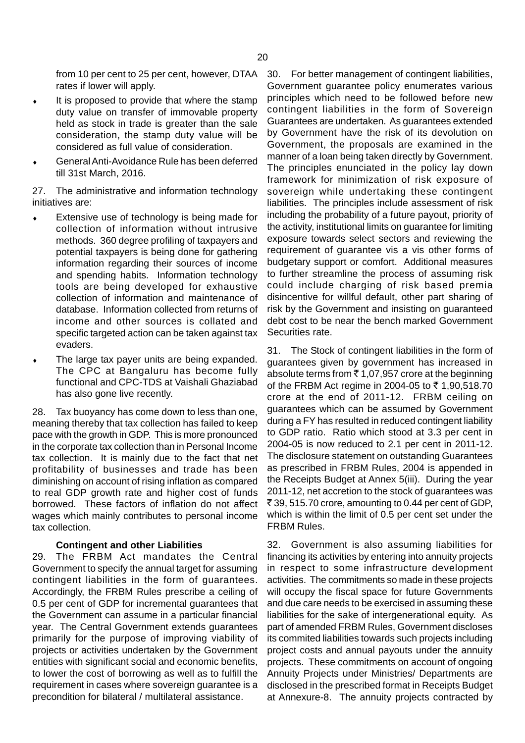rates if lower will apply.

- It is proposed to provide that where the stamp duty value on transfer of immovable property held as stock in trade is greater than the sale consideration, the stamp duty value will be considered as full value of consideration.
- General Anti-Avoidance Rule has been deferred till 31st March, 2016.

27. The administrative and information technology initiatives are:

- Extensive use of technology is being made for collection of information without intrusive methods. 360 degree profiling of taxpayers and potential taxpayers is being done for gathering information regarding their sources of income and spending habits. Information technology tools are being developed for exhaustive collection of information and maintenance of database. Information collected from returns of income and other sources is collated and specific targeted action can be taken against tax evaders.
- The large tax payer units are being expanded. The CPC at Bangaluru has become fully functional and CPC-TDS at Vaishali Ghaziabad has also gone live recently.

28. Tax buoyancy has come down to less than one, meaning thereby that tax collection has failed to keep pace with the growth in GDP. This is more pronounced in the corporate tax collection than in Personal Income tax collection. It is mainly due to the fact that net profitability of businesses and trade has been diminishing on account of rising inflation as compared to real GDP growth rate and higher cost of funds borrowed. These factors of inflation do not affect wages which mainly contributes to personal income tax collection.

#### **Contingent and other Liabilities**

29. The FRBM Act mandates the Central Government to specify the annual target for assuming contingent liabilities in the form of guarantees. Accordingly, the FRBM Rules prescribe a ceiling of 0.5 per cent of GDP for incremental guarantees that the Government can assume in a particular financial year. The Central Government extends guarantees primarily for the purpose of improving viability of projects or activities undertaken by the Government entities with significant social and economic benefits, to lower the cost of borrowing as well as to fulfill the requirement in cases where sovereign guarantee is a precondition for bilateral / multilateral assistance.

from 10 per cent to 25 per cent, however, DTAA 30. For better management of contingent liabilities, Government guarantee policy enumerates various principles which need to be followed before new contingent liabilities in the form of Sovereign Guarantees are undertaken. As guarantees extended by Government have the risk of its devolution on Government, the proposals are examined in the manner of a loan being taken directly by Government. The principles enunciated in the policy lay down framework for minimization of risk exposure of sovereign while undertaking these contingent liabilities. The principles include assessment of risk including the probability of a future payout, priority of the activity, institutional limits on guarantee for limiting exposure towards select sectors and reviewing the requirement of guarantee vis a vis other forms of budgetary support or comfort. Additional measures to further streamline the process of assuming risk could include charging of risk based premia disincentive for willful default, other part sharing of risk by the Government and insisting on guaranteed debt cost to be near the bench marked Government Securities rate.

> 31. The Stock of contingent liabilities in the form of guarantees given by government has increased in absolute terms from  $\bar{\tau}$  1,07,957 crore at the beginning of the FRBM Act regime in 2004-05 to ₹1,90,518.70 crore at the end of 2011-12. FRBM ceiling on guarantees which can be assumed by Government during a FY has resulted in reduced contingent liability to GDP ratio. Ratio which stood at 3.3 per cent in 2004-05 is now reduced to 2.1 per cent in 2011-12. The disclosure statement on outstanding Guarantees as prescribed in FRBM Rules, 2004 is appended in the Receipts Budget at Annex 5(iii). During the year 2011-12, net accretion to the stock of guarantees was ₹39, 515.70 crore, amounting to 0.44 per cent of GDP, which is within the limit of 0.5 per cent set under the FRBM Rules.

> 32. Government is also assuming liabilities for financing its activities by entering into annuity projects in respect to some infrastructure development activities. The commitments so made in these projects will occupy the fiscal space for future Governments and due care needs to be exercised in assuming these liabilities for the sake of intergenerational equity. As part of amended FRBM Rules, Government discloses its commited liabilities towards such projects including project costs and annual payouts under the annuity projects. These commitments on account of ongoing Annuity Projects under Ministries/ Departments are disclosed in the prescribed format in Receipts Budget at Annexure-8. The annuity projects contracted by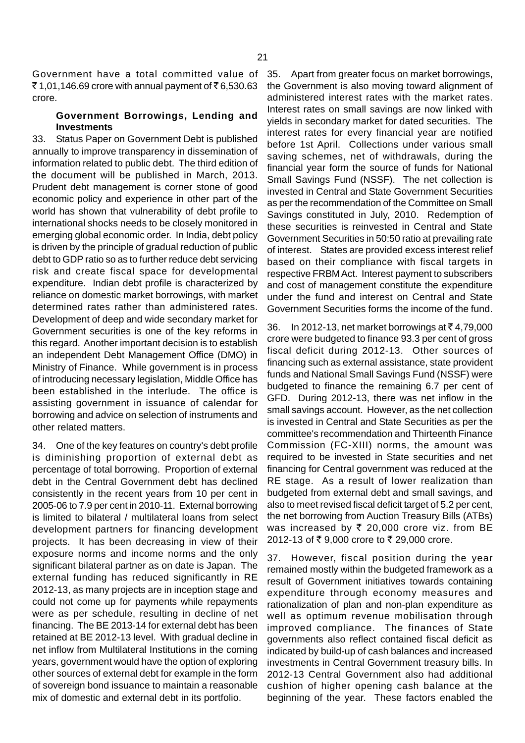Government have a total committed value of  $\bar{5}$  1,01,146.69 crore with annual payment of  $\bar{5}$  6,530.63 crore.

# **Government Borrowings, Lending and Investments**

33. Status Paper on Government Debt is published annually to improve transparency in dissemination of information related to public debt. The third edition of the document will be published in March, 2013. Prudent debt management is corner stone of good economic policy and experience in other part of the world has shown that vulnerability of debt profile to international shocks needs to be closely monitored in emerging global economic order. In India, debt policy is driven by the principle of gradual reduction of public debt to GDP ratio so as to further reduce debt servicing risk and create fiscal space for developmental expenditure. Indian debt profile is characterized by reliance on domestic market borrowings, with market determined rates rather than administered rates. Development of deep and wide secondary market for Government securities is one of the key reforms in this regard. Another important decision is to establish an independent Debt Management Office (DMO) in Ministry of Finance. While government is in process of introducing necessary legislation, Middle Office has been established in the interlude. The office is assisting government in issuance of calendar for borrowing and advice on selection of instruments and other related matters.

34. One of the key features on country's debt profile is diminishing proportion of external debt as percentage of total borrowing. Proportion of external debt in the Central Government debt has declined consistently in the recent years from 10 per cent in 2005-06 to 7.9 per cent in 2010-11. External borrowing is limited to bilateral / multilateral loans from select development partners for financing development projects. It has been decreasing in view of their exposure norms and income norms and the only significant bilateral partner as on date is Japan. The external funding has reduced significantly in RE 2012-13, as many projects are in inception stage and could not come up for payments while repayments were as per schedule, resulting in decline of net financing. The BE 2013-14 for external debt has been retained at BE 2012-13 level. With gradual decline in net inflow from Multilateral Institutions in the coming years, government would have the option of exploring other sources of external debt for example in the form of sovereign bond issuance to maintain a reasonable mix of domestic and external debt in its portfolio.

35. Apart from greater focus on market borrowings, the Government is also moving toward alignment of administered interest rates with the market rates. Interest rates on small savings are now linked with yields in secondary market for dated securities. The interest rates for every financial year are notified before 1st April. Collections under various small saving schemes, net of withdrawals, during the financial year form the source of funds for National Small Savings Fund (NSSF). The net collection is invested in Central and State Government Securities as per the recommendation of the Committee on Small Savings constituted in July, 2010. Redemption of these securities is reinvested in Central and State Government Securities in 50:50 ratio at prevailing rate of interest. States are provided excess interest relief based on their compliance with fiscal targets in respective FRBM Act. Interest payment to subscribers and cost of management constitute the expenditure under the fund and interest on Central and State Government Securities forms the income of the fund.

36. In 2012-13, net market borrowings at  $\bar{\tau}$  4,79,000 crore were budgeted to finance 93.3 per cent of gross fiscal deficit during 2012-13. Other sources of financing such as external assistance, state provident funds and National Small Savings Fund (NSSF) were budgeted to finance the remaining 6.7 per cent of GFD. During 2012-13, there was net inflow in the small savings account. However, as the net collection is invested in Central and State Securities as per the committee's recommendation and Thirteenth Finance Commission (FC-XIII) norms, the amount was required to be invested in State securities and net financing for Central government was reduced at the RE stage. As a result of lower realization than budgeted from external debt and small savings, and also to meet revised fiscal deficit target of 5.2 per cent, the net borrowing from Auction Treasury Bills (ATBs) was increased by  $\bar{\tau}$  20,000 crore viz. from BE 2012-13 of ₹9,000 crore to ₹29,000 crore.

37. However, fiscal position during the year remained mostly within the budgeted framework as a result of Government initiatives towards containing expenditure through economy measures and rationalization of plan and non-plan expenditure as well as optimum revenue mobilisation through improved compliance. The finances of State governments also reflect contained fiscal deficit as indicated by build-up of cash balances and increased investments in Central Government treasury bills. In 2012-13 Central Government also had additional cushion of higher opening cash balance at the beginning of the year. These factors enabled the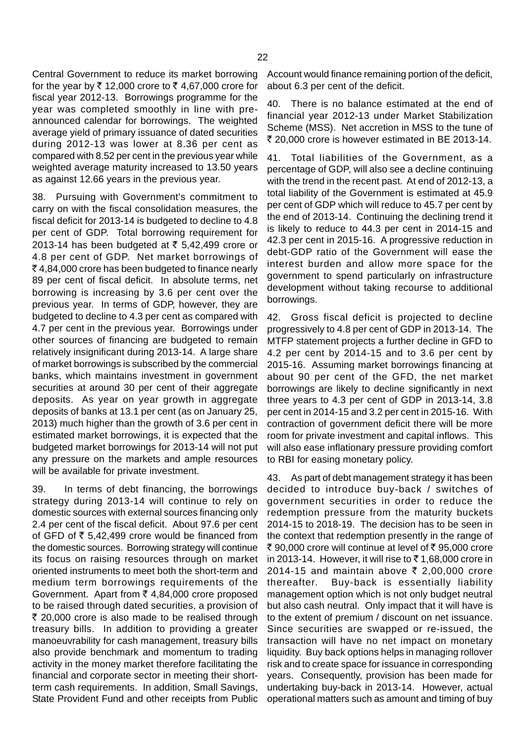Central Government to reduce its market borrowing for the year by  $\bar{\tau}$  12,000 crore to  $\bar{\tau}$  4,67,000 crore for fiscal year 2012-13. Borrowings programme for the year was completed smoothly in line with preannounced calendar for borrowings. The weighted average yield of primary issuance of dated securities during 2012-13 was lower at 8.36 per cent as compared with 8.52 per cent in the previous year while weighted average maturity increased to 13.50 years as against 12.66 years in the previous year.

38. Pursuing with Government's commitment to carry on with the fiscal consolidation measures, the fiscal deficit for 2013-14 is budgeted to decline to 4.8 per cent of GDP. Total borrowing requirement for 2013-14 has been budgeted at  $\bar{\tau}$  5,42,499 crore or 4.8 per cent of GDP. Net market borrowings of ` 4,84,000 crore has been budgeted to finance nearly 89 per cent of fiscal deficit. In absolute terms, net borrowing is increasing by 3.6 per cent over the previous year. In terms of GDP, however, they are budgeted to decline to 4.3 per cent as compared with 4.7 per cent in the previous year. Borrowings under other sources of financing are budgeted to remain relatively insignificant during 2013-14. A large share of market borrowings is subscribed by the commercial banks, which maintains investment in government securities at around 30 per cent of their aggregate deposits. As year on year growth in aggregate deposits of banks at 13.1 per cent (as on January 25, 2013) much higher than the growth of 3.6 per cent in estimated market borrowings, it is expected that the budgeted market borrowings for 2013-14 will not put any pressure on the markets and ample resources will be available for private investment.

39. In terms of debt financing, the borrowings strategy during 2013-14 will continue to rely on domestic sources with external sources financing only 2.4 per cent of the fiscal deficit. About 97.6 per cent of GFD of  $\overline{5}$  5,42,499 crore would be financed from the domestic sources. Borrowing strategy will continue its focus on raising resources through on market oriented instruments to meet both the short-term and medium term borrowings requirements of the Government. Apart from  $\overline{z}$  4,84,000 crore proposed to be raised through dated securities, a provision of  $\bar{\tau}$  20,000 crore is also made to be realised through treasury bills. In addition to providing a greater manoeuvrability for cash management, treasury bills also provide benchmark and momentum to trading activity in the money market therefore facilitating the financial and corporate sector in meeting their shortterm cash requirements. In addition, Small Savings, State Provident Fund and other receipts from Public

Account would finance remaining portion of the deficit, about 6.3 per cent of the deficit.

40. There is no balance estimated at the end of financial year 2012-13 under Market Stabilization Scheme (MSS). Net accretion in MSS to the tune of ₹ 20,000 crore is however estimated in BE 2013-14.

41. Total liabilities of the Government, as a percentage of GDP, will also see a decline continuing with the trend in the recent past. At end of 2012-13, a total liability of the Government is estimated at 45.9 per cent of GDP which will reduce to 45.7 per cent by the end of 2013-14. Continuing the declining trend it is likely to reduce to 44.3 per cent in 2014-15 and 42.3 per cent in 2015-16. A progressive reduction in debt-GDP ratio of the Government will ease the interest burden and allow more space for the government to spend particularly on infrastructure development without taking recourse to additional borrowings.

42. Gross fiscal deficit is projected to decline progressively to 4.8 per cent of GDP in 2013-14. The MTFP statement projects a further decline in GFD to 4.2 per cent by 2014-15 and to 3.6 per cent by 2015-16. Assuming market borrowings financing at about 90 per cent of the GFD, the net market borrowings are likely to decline significantly in next three years to 4.3 per cent of GDP in 2013-14, 3.8 per cent in 2014-15 and 3.2 per cent in 2015-16. With contraction of government deficit there will be more room for private investment and capital inflows. This will also ease inflationary pressure providing comfort to RBI for easing monetary policy.

43. As part of debt management strategy it has been decided to introduce buy-back / switches of government securities in order to reduce the redemption pressure from the maturity buckets 2014-15 to 2018-19. The decision has to be seen in the context that redemption presently in the range of ₹ 90,000 crore will continue at level of ₹ 95,000 crore in 2013-14. However, it will rise to  $\bar{\tau}$  1,68,000 crore in 2014-15 and maintain above  $\bar{\tau}$  2,00,000 crore thereafter. Buy-back is essentially liability management option which is not only budget neutral but also cash neutral. Only impact that it will have is to the extent of premium / discount on net issuance. Since securities are swapped or re-issued, the transaction will have no net impact on monetary liquidity. Buy back options helps in managing rollover risk and to create space for issuance in corresponding years. Consequently, provision has been made for undertaking buy-back in 2013-14. However, actual operational matters such as amount and timing of buy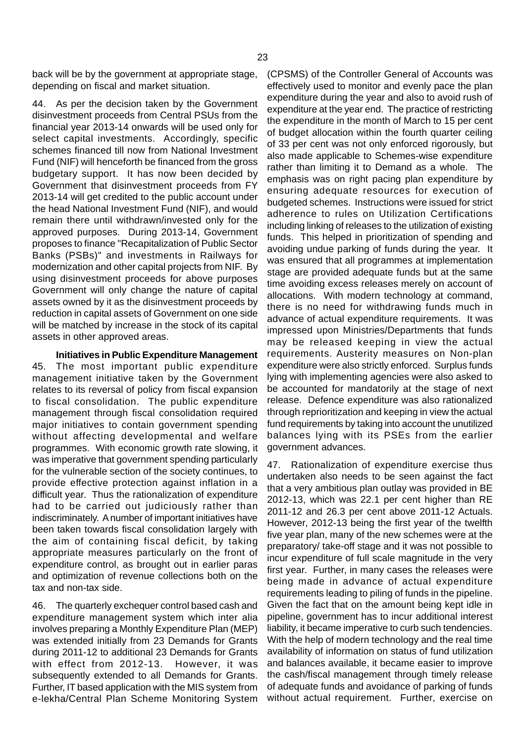back will be by the government at appropriate stage, depending on fiscal and market situation.

44. As per the decision taken by the Government disinvestment proceeds from Central PSUs from the financial year 2013-14 onwards will be used only for select capital investments. Accordingly, specific schemes financed till now from National Investment Fund (NIF) will henceforth be financed from the gross budgetary support. It has now been decided by Government that disinvestment proceeds from FY 2013-14 will get credited to the public account under the head National Investment Fund (NIF), and would remain there until withdrawn/invested only for the approved purposes. During 2013-14, Government proposes to finance "Recapitalization of Public Sector Banks (PSBs)" and investments in Railways for modernization and other capital projects from NIF. By using disinvestment proceeds for above purposes Government will only change the nature of capital assets owned by it as the disinvestment proceeds by reduction in capital assets of Government on one side will be matched by increase in the stock of its capital assets in other approved areas.

**Initiatives in Public Expenditure Management** 45. The most important public expenditure management initiative taken by the Government relates to its reversal of policy from fiscal expansion to fiscal consolidation. The public expenditure management through fiscal consolidation required major initiatives to contain government spending without affecting developmental and welfare programmes. With economic growth rate slowing, it was imperative that government spending particularly for the vulnerable section of the society continues, to provide effective protection against inflation in a difficult year. Thus the rationalization of expenditure had to be carried out judiciously rather than indiscriminately. A number of important initiatives have been taken towards fiscal consolidation largely with the aim of containing fiscal deficit, by taking appropriate measures particularly on the front of expenditure control, as brought out in earlier paras and optimization of revenue collections both on the tax and non-tax side.

46. The quarterly exchequer control based cash and expenditure management system which inter alia involves preparing a Monthly Expenditure Plan (MEP) was extended initially from 23 Demands for Grants during 2011-12 to additional 23 Demands for Grants with effect from 2012-13. However, it was subsequently extended to all Demands for Grants. Further, IT based application with the MIS system from e-lekha/Central Plan Scheme Monitoring System

(CPSMS) of the Controller General of Accounts was effectively used to monitor and evenly pace the plan expenditure during the year and also to avoid rush of expenditure at the year end. The practice of restricting the expenditure in the month of March to 15 per cent of budget allocation within the fourth quarter ceiling of 33 per cent was not only enforced rigorously, but also made applicable to Schemes-wise expenditure rather than limiting it to Demand as a whole. The emphasis was on right pacing plan expenditure by ensuring adequate resources for execution of budgeted schemes. Instructions were issued for strict adherence to rules on Utilization Certifications including linking of releases to the utilization of existing funds. This helped in prioritization of spending and avoiding undue parking of funds during the year. It was ensured that all programmes at implementation stage are provided adequate funds but at the same time avoiding excess releases merely on account of allocations. With modern technology at command, there is no need for withdrawing funds much in advance of actual expenditure requirements. It was impressed upon Ministries/Departments that funds may be released keeping in view the actual requirements. Austerity measures on Non-plan expenditure were also strictly enforced. Surplus funds lying with implementing agencies were also asked to be accounted for mandatorily at the stage of next release. Defence expenditure was also rationalized through reprioritization and keeping in view the actual fund requirements by taking into account the unutilized balances lying with its PSEs from the earlier government advances.

47. Rationalization of expenditure exercise thus undertaken also needs to be seen against the fact that a very ambitious plan outlay was provided in BE 2012-13, which was 22.1 per cent higher than RE 2011-12 and 26.3 per cent above 2011-12 Actuals. However, 2012-13 being the first year of the twelfth five year plan, many of the new schemes were at the preparatory/ take-off stage and it was not possible to incur expenditure of full scale magnitude in the very first year. Further, in many cases the releases were being made in advance of actual expenditure requirements leading to piling of funds in the pipeline. Given the fact that on the amount being kept idle in pipeline, government has to incur additional interest liability, it became imperative to curb such tendencies. With the help of modern technology and the real time availability of information on status of fund utilization and balances available, it became easier to improve the cash/fiscal management through timely release of adequate funds and avoidance of parking of funds without actual requirement. Further, exercise on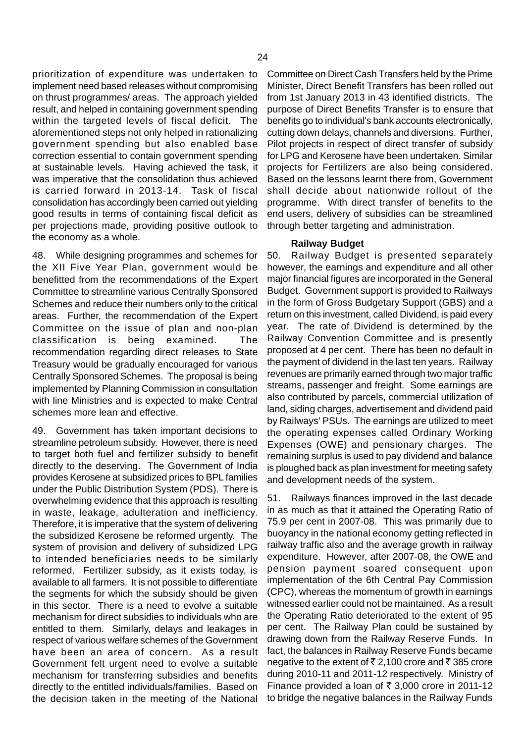prioritization of expenditure was undertaken to implement need based releases without compromising on thrust programmes/ areas. The approach yielded result, and helped in containing government spending within the targeted levels of fiscal deficit. The aforementioned steps not only helped in rationalizing government spending but also enabled base correction essential to contain government spending at sustainable levels. Having achieved the task, it was imperative that the consolidation thus achieved is carried forward in 2013-14. Task of fiscal consolidation has accordingly been carried out yielding good results in terms of containing fiscal deficit as per projections made, providing positive outlook to the economy as a whole.

48. While designing programmes and schemes for the XII Five Year Plan, government would be benefitted from the recommendations of the Expert Committee to streamline various Centrally Sponsored Schemes and reduce their numbers only to the critical areas. Further, the recommendation of the Expert Committee on the issue of plan and non-plan classification is being examined. The recommendation regarding direct releases to State Treasury would be gradually encouraged for various Centrally Sponsored Schemes. The proposal is being implemented by Planning Commission in consultation with line Ministries and is expected to make Central schemes more lean and effective.

49. Government has taken important decisions to streamline petroleum subsidy. However, there is need to target both fuel and fertilizer subsidy to benefit directly to the deserving. The Government of India provides Kerosene at subsidized prices to BPL families under the Public Distribution System (PDS). There is overwhelming evidence that this approach is resulting in waste, leakage, adulteration and inefficiency. Therefore, it is imperative that the system of delivering the subsidized Kerosene be reformed urgently. The system of provision and delivery of subsidized LPG to intended beneficiaries needs to be similarly reformed. Fertilizer subsidy, as it exists today, is available to all farmers. It is not possible to differentiate the segments for which the subsidy should be given in this sector. There is a need to evolve a suitable mechanism for direct subsidies to individuals who are entitled to them. Similarly, delays and leakages in respect of various welfare schemes of the Government have been an area of concern. As a result Government felt urgent need to evolve a suitable mechanism for transferring subsidies and benefits directly to the entitled individuals/families. Based on the decision taken in the meeting of the National

Committee on Direct Cash Transfers held by the Prime Minister, Direct Benefit Transfers has been rolled out from 1st January 2013 in 43 identified districts. The purpose of Direct Benefits Transfer is to ensure that benefits go to individual's bank accounts electronically, cutting down delays, channels and diversions. Further, Pilot projects in respect of direct transfer of subsidy for LPG and Kerosene have been undertaken. Similar projects for Fertilizers are also being considered. Based on the lessons learnt there from, Government shall decide about nationwide rollout of the programme. With direct transfer of benefits to the end users, delivery of subsidies can be streamlined through better targeting and administration.

#### **Railway Budget**

50. Railway Budget is presented separately however, the earnings and expenditure and all other major financial figures are incorporated in the General Budget. Government support is provided to Railways in the form of Gross Budgetary Support (GBS) and a return on this investment, called Dividend, is paid every year. The rate of Dividend is determined by the Railway Convention Committee and is presently proposed at 4 per cent. There has been no default in the payment of dividend in the last ten years. Railway revenues are primarily earned through two major traffic streams, passenger and freight. Some earnings are also contributed by parcels, commercial utilization of land, siding charges, advertisement and dividend paid by Railways' PSUs. The earnings are utilized to meet the operating expenses called Ordinary Working Expenses (OWE) and pensionary charges. The remaining surplus is used to pay dividend and balance is ploughed back as plan investment for meeting safety and development needs of the system.

51. Railways finances improved in the last decade in as much as that it attained the Operating Ratio of 75.9 per cent in 2007-08. This was primarily due to buoyancy in the national economy getting reflected in railway traffic also and the average growth in railway expenditure. However, after 2007-08, the OWE and pension payment soared consequent upon implementation of the 6th Central Pay Commission (CPC), whereas the momentum of growth in earnings witnessed earlier could not be maintained. As a result the Operating Ratio deteriorated to the extent of 95 per cent. The Railway Plan could be sustained by drawing down from the Railway Reserve Funds. In fact, the balances in Railway Reserve Funds became negative to the extent of  $\bar{\tau}$  2,100 crore and  $\bar{\tau}$  385 crore during 2010-11 and 2011-12 respectively. Ministry of Finance provided a loan of  $\bar{\tau}$  3,000 crore in 2011-12 to bridge the negative balances in the Railway Funds